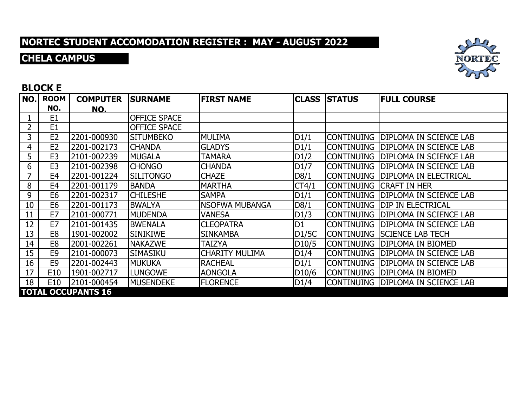### **CHELA CAMPUS**



#### **BLOCK E**

| NO.            | <b>ROOM</b>    | <b>COMPUTER</b>           | <b>SURNAME</b>      | <b>FIRST NAME</b>     | <b>CLASS</b>       | <b>STATUS</b> | <b>FULL COURSE</b>                  |
|----------------|----------------|---------------------------|---------------------|-----------------------|--------------------|---------------|-------------------------------------|
|                | NO.            | <u>NO.</u>                |                     |                       |                    |               |                                     |
|                | E <sub>1</sub> |                           | <b>OFFICE SPACE</b> |                       |                    |               |                                     |
| $\overline{2}$ | E1             |                           | <b>OFFICE SPACE</b> |                       |                    |               |                                     |
| 3              | E <sub>2</sub> | 2201-000930               | <b>SITUMBEKO</b>    | <b>MULIMA</b>         | D1/1               |               | CONTINUING   DIPLOMA IN SCIENCE LAB |
| 4              | E2             | 2201-002173               | <b>CHANDA</b>       | <b>GLADYS</b>         | D1/1               |               | CONTINUING DIPLOMA IN SCIENCE LAB   |
| 5              | E <sub>3</sub> | 2101-002239               | <b>MUGALA</b>       | <b>TAMARA</b>         | D1/2               |               | CONTINUING DIPLOMA IN SCIENCE LAB   |
| 6              | E <sub>3</sub> | 2101-002398               | <b>CHONGO</b>       | <b>CHANDA</b>         | D <sub>1</sub> /7  |               | CONTINUING   DIPLOMA IN SCIENCE LAB |
|                | E <sub>4</sub> | 2201-001224               | <b>SILITONGO</b>    | <b>CHAZE</b>          | D8/1               |               | CONTINUING   DIPLOMA IN ELECTRICAL  |
| 8              | E <sub>4</sub> | 2201-001179               | <b>BANDA</b>        | <b>MARTHA</b>         | CT4/1              |               | Continuing  Craft in Her            |
| 9              | E <sub>6</sub> | 2201-002317               | <b>CHILESHE</b>     | <b>SAMPA</b>          | D1/1               |               | CONTINUING DIPLOMA IN SCIENCE LAB   |
| 10             | E <sub>6</sub> | 2201-001173               | <b>BWALYA</b>       | <b>NSOFWA MUBANGA</b> | D8/1               |               | continuing  dip in Electrical       |
| 11             | E7             | 2101-000771               | <b>MUDENDA</b>      | VANESA                | D1/3               |               | CONTINUING  DIPLOMA IN SCIENCE LAB  |
| 12             | E7             | 2101-001435               | <b>BWENALA</b>      | <b>CLEOPATRA</b>      | D <sub>1</sub>     |               | CONTINUING IDIPLOMA IN SCIENCE LAB  |
| 13             | E <sub>8</sub> | 1901-002002               | <b>SINIKIWE</b>     | <b>SINKAMBA</b>       | D1/5C              |               | CONTINUING SSCIENCE LAB TECH        |
| 14             | E <sub>8</sub> | 2001-002261               | <b>NAKAZWE</b>      | <b>TAIZYA</b>         | D <sub>10</sub> /5 |               | Continuing  DIPLOMA IN BIOMED       |
| 15             | E <sub>9</sub> | 2101-000073               | SIMASIKU            | <b>CHARITY MULIMA</b> | D1/4               |               | CONTINUING   DIPLOMA IN SCIENCE LAB |
| 16             | E <sub>9</sub> | 2201-002443               | <b>MUKUKA</b>       | <b>RACHEAL</b>        | D1/1               |               | CONTINUING DIPLOMA IN SCIENCE LAB   |
| 17             | E10            | 1901-002717               | <b>LUNGOWE</b>      | <b>AONGOLA</b>        | D <sub>10</sub> /6 |               | Continuing  DIPLOMA IN BIOMED       |
| 18             | E10            | 2101-000454               | <b>MUSENDEKE</b>    | <b>FLORENCE</b>       | D1/4               |               | CONTINUING DIPLOMA IN SCIENCE LAB   |
|                |                | <b>TOTAL OCCUPANTS 16</b> |                     |                       |                    |               |                                     |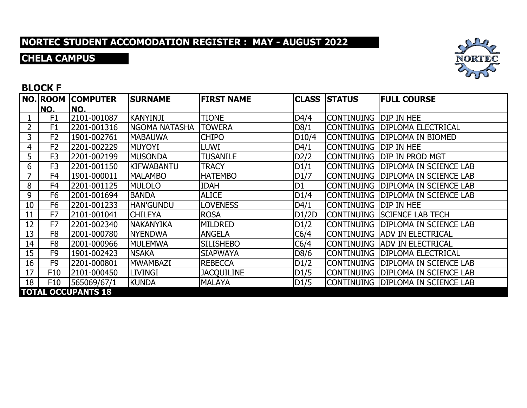### **CHELA CAMPUS**



#### **BLOCK F**

|    | NO. ROOM       | <b>COMPUTER</b>           | <b>SURNAME</b>       | <b>FIRST NAME</b> |                    | <b>CLASS STATUS</b>     | <b>FULL COURSE</b>                  |
|----|----------------|---------------------------|----------------------|-------------------|--------------------|-------------------------|-------------------------------------|
|    | NO.            | NO.                       |                      |                   |                    |                         |                                     |
|    | F1             | 2101-001087               | <b>KANYINJI</b>      | <b>TIONE</b>      | D4/4               | icontinuing  dip in hee |                                     |
| 2  | F <sub>1</sub> | 2201-001316               | <b>NGOMA NATASHA</b> | <b>TOWERA</b>     | D8/1               |                         | CONTINUING  DIPLOMA ELECTRICAL      |
| 3  | F <sub>2</sub> | 1901-002761               | <b>MABAUWA</b>       | <b>CHIPO</b>      | D <sub>10</sub> /4 |                         | CONTINUING DIPLOMA IN BIOMED        |
| 4  | F <sub>2</sub> | 2201-002229               | <b>MUYOYI</b>        | <b>LUWI</b>       | D4/1               | Continuing  DIP in hee  |                                     |
| 5  | F <sub>3</sub> | 2201-002199               | <b>MUSONDA</b>       | <b>TUSANILE</b>   | D2/2               |                         | continuing  dip in prod mgt         |
| 6  | F <sub>3</sub> | 2201-001150               | <b>KIFWABANTU</b>    | <b>TRACY</b>      | D1/1               |                         | CONTINUING DIPLOMA IN SCIENCE LAB   |
| 7  | F <sub>4</sub> | 1901-000011               | <b>MALAMBO</b>       | <b>HATEMBO</b>    | DI/7               |                         | CONTINUING  DIPLOMA IN SCIENCE LAB  |
| 8  | F <sub>4</sub> | 2201-001125               | <b>MULOLO</b>        | <b>IDAH</b>       | D <sub>1</sub>     |                         | CONTINUING   DIPLOMA IN SCIENCE LAB |
| 9  | F <sub>6</sub> | 2001-001694               | <b>BANDA</b>         | <b>ALICE</b>      | D1/4               |                         | CONTINUING  DIPLOMA IN SCIENCE LAB  |
| 10 | F <sub>6</sub> | 2201-001233               | <b>HAN'GUNDU</b>     | <b>LOVENESS</b>   | D4/1               | icontinuing  dip in hee |                                     |
| 11 | F7             | 2101-001041               | <b>CHILEYA</b>       | <b>ROSA</b>       | D1/2D              |                         | CONTINUING  SCIENCE LAB TECH        |
| 12 | F7             | 2201-002340               | <b>NAKANYIKA</b>     | <b>MILDRED</b>    | D1/2               |                         | ICONTINUING  DIPLOMA IN SCIENCE LAB |
| 13 | F <sub>8</sub> | 2001-000780               | <b>NYENDWA</b>       | <b>ANGELA</b>     | C6/4               |                         | CONTINUING  ADV IN ELECTRICAL       |
| 14 | F <sub>8</sub> | 2001-000966               | <b>MULEMWA</b>       | <b>SILISHEBO</b>  | C6/4               |                         | CONTINUING  ADV IN ELECTRICAL       |
| 15 | F <sub>9</sub> | 1901-002423               | <b>NSAKA</b>         | <b>SIAPWAYA</b>   | D8/6               |                         | CONTINUING   DIPLOMA ELECTRICAL     |
| 16 | F <sub>9</sub> | 2201-000801               | <b>MWAMBAZI</b>      | <b>REBECCA</b>    | D1/2               |                         | CONTINUING  DIPLOMA IN SCIENCE LAB  |
| 17 | F10            | 2101-000450               | <b>LIVINGI</b>       | <b>JACQUILINE</b> | D1/5               |                         | CONTINUING   DIPLOMA IN SCIENCE LAB |
| 18 | F10            | 565069/67/1               | <b>KUNDA</b>         | <b>MALAYA</b>     | D <sub>1</sub> /5  |                         | CONTINUING DIPLOMA IN SCIENCE LAB   |
|    |                | <b>TOTAL OCCUPANTS 18</b> |                      |                   |                    |                         |                                     |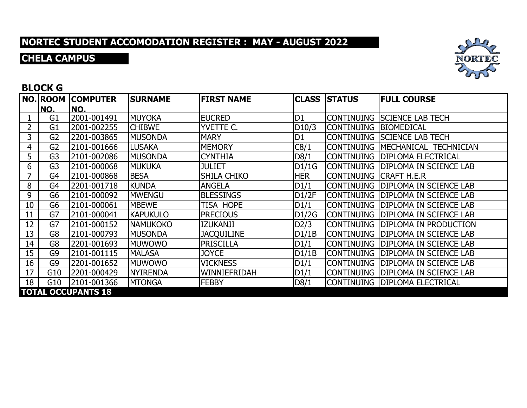### **CHELA CAMPUS**



#### **BLOCK G**

|    | <b>NO. ROOM</b><br>NO. | <b>COMPUTER</b><br>NO.    | <b>SURNAME</b>  | <b>FIRST NAME</b>  |                | <b>CLASS STATUS</b> | <b>FULL COURSE</b>                 |
|----|------------------------|---------------------------|-----------------|--------------------|----------------|---------------------|------------------------------------|
|    | G1                     | 2001-001491               | <b>MUYOKA</b>   | <b>EUCRED</b>      | D <sub>1</sub> |                     | CONTINUING  SCIENCE LAB TECH       |
| 2  | G1                     | 2001-002255               | <b>CHIBWE</b>   | YVETTE C.          | D10/3          | CONTINUING          | <b>IBIOMEDICAL</b>                 |
| 3  | G2                     | 2201-003865               | <b>MUSONDA</b>  | <b>MARY</b>        | D <sub>1</sub> |                     | CONTINUING SCIENCE LAB TECH        |
| 4  | G <sub>2</sub>         | 2101-001666               | <b>LUSAKA</b>   | <b>MEMORY</b>      | C8/1           | <b>CONTINUING</b>   | MECHANICAL TECHNICIAN              |
| 5  | G3                     | 2101-002086               | <b>MUSONDA</b>  | <b>CYNTHIA</b>     | D8/1           | CONTINUING          | <b>DIPLOMA ELECTRICAL</b>          |
| 6  | G3                     | 2101-000068               | <b>MUKUKA</b>   | JULIET             | DI/1G          |                     | CONTINUING DIPLOMA IN SCIENCE LAB  |
|    | G4                     | 2101-000868               | <b>BESA</b>     | <b>SHILA CHIKO</b> | <b>HER</b>     | CONTINUING          | <b>ICRAFT H.E.R</b>                |
| 8  | G4                     | 2201-001718               | <b>KUNDA</b>    | <b>ANGELA</b>      | D1/1           | CONTINUING          | <b>DIPLOMA IN SCIENCE LAB</b>      |
| 9  | G6                     | 2101-000092               | <b>MWENGU</b>   | <b>BLESSINGS</b>   | D1/2F          | CONTINUING          | <b>DIPLOMA IN SCIENCE LAB</b>      |
| 10 | G6                     | 2101-000061               | <b>MBEWE</b>    | TISA HOPE          | D1/1           |                     | CONTINUING  DIPLOMA IN SCIENCE LAB |
| 11 | G7                     | 2101-000041               | <b>KAPUKULO</b> | <b>PRECIOUS</b>    | D1/2G          | CONTINUING          | <b>DIPLOMA IN SCIENCE LAB</b>      |
| 12 | G7                     | 2101-000152               | <b>NAMUKOKO</b> | <b>IZUKANJI</b>    | D2/3           | ICONTINUING         | <b>DIPLOMA IN PRODUCTION</b>       |
| 13 | G8                     | 2101-000793               | <b>MUSONDA</b>  | <b>JACQUILINE</b>  | D1/1B          | CONTINUING          | <b>DIPLOMA IN SCIENCE LAB</b>      |
| 14 | G8                     | 2201-001693               | <b>MUWOWO</b>   | <b>PRISCILLA</b>   | D1/1           | icontinuing         | <b>DIPLOMA IN SCIENCE LAB</b>      |
| 15 | G9                     | 2101-001115               | <b>MALASA</b>   | <b>JOYCE</b>       | D1/1B          | CONTINUING          | <b>DIPLOMA IN SCIENCE LAB</b>      |
| 16 | G9                     | 2201-001652               | <b>MUWOWO</b>   | <b>VICKNESS</b>    | D1/1           | CONTINUING          | <b>DIPLOMA IN SCIENCE LAB</b>      |
| 17 | G10                    | 2201-000429               | <b>NYIRENDA</b> | WINNIEFRIDAH       | D1/1           | CONTINUING          | <b>DIPLOMA IN SCIENCE LAB</b>      |
| 18 | G10                    | 2101-001366               | <b>MTONGA</b>   | <b>FEBBY</b>       | D8/1           |                     | CONTINUING  DIPLOMA ELECTRICAL     |
|    |                        | <b>TOTAL OCCUPANTS 18</b> |                 |                    |                |                     |                                    |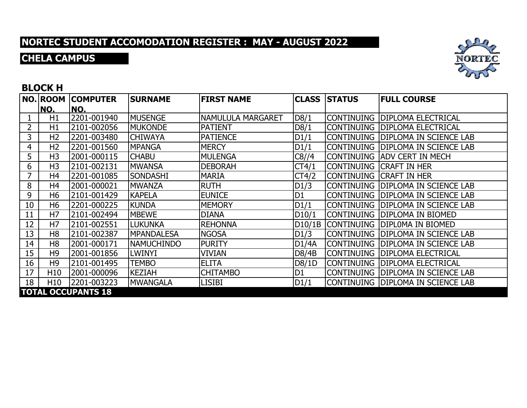### **CHELA CAMPUS**



#### **BLOCK H**

|    | NO. ROOM        | <b>COMPUTER</b>           | <b>SURNAME</b>    | <b>FIRST NAME</b> |                | <b>CLASS STATUS</b> | <b>FULL COURSE</b>                 |
|----|-----------------|---------------------------|-------------------|-------------------|----------------|---------------------|------------------------------------|
|    | NO.             | NO.                       |                   |                   |                |                     |                                    |
|    | H1              | 2201-001940               | <b>MUSENGE</b>    | NAMULULA MARGARET | D8/1           |                     | CONTINUING  DIPLOMA ELECTRICAL     |
| 2  | H1              | 2101-002056               | <b>MUKONDE</b>    | <b>PATIENT</b>    | D8/1           | ICONTINUING         | <b>DIPLOMA ELECTRICAL</b>          |
| 3  | H <sub>2</sub>  | 2201-003480               | <b>CHIWAYA</b>    | <b>PATIENCE</b>   | D1/1           |                     | CONTINUING  DIPLOMA IN SCIENCE LAB |
| 4  | H <sub>2</sub>  | 2201-001560               | <b>MPANGA</b>     | <b>MERCY</b>      | D1/1           | <b>CONTINUING</b>   | <b>IDIPLOMA IN SCIENCE LAB</b>     |
| 5  | H <sub>3</sub>  | 2001-000115               | <b>CHABU</b>      | MULENGA           | C8/14          |                     | ICONTINUING  ADV CERT IN MECH      |
| 6  | H <sub>3</sub>  | 2101-002131               | <b>MWANSA</b>     | <b>DEBORAH</b>    | CT4/1          |                     | CONTINUING CRAFT IN HER            |
| 7  | H <sub>4</sub>  | 2201-001085               | <b>SONDASHI</b>   | <b>MARIA</b>      | CT4/2          | CONTINUING          | <b>CRAFT IN HER</b>                |
| 8  | H <sub>4</sub>  | 2001-000021               | <b>MWANZA</b>     | <b>RUTH</b>       | D1/3           | <b>CONTINUING</b>   | <b>DIPLOMA IN SCIENCE LAB</b>      |
| 9  | H <sub>6</sub>  | 2101-001429               | <b>KAPELA</b>     | <b>EUNICE</b>     | D <sub>1</sub> | <b>CONTINUING</b>   | <b>DIPLOMA IN SCIENCE LAB</b>      |
| 10 | H <sub>6</sub>  | 2201-000225               | <b>KUNDA</b>      | <b>MEMORY</b>     | D1/1           |                     | CONTINUING  DIPLOMA IN SCIENCE LAB |
| 11 | H <sub>7</sub>  | 2101-002494               | <b>MBEWE</b>      | <b>DIANA</b>      | D10/1          | icontinuing         | <b>DIPLOMA IN BIOMED</b>           |
| 12 | H <sub>7</sub>  | 2101-002551               | LUKUNKA           | <b>IREHONNA</b>   | D10/1B         | <b>CONTINUING</b>   | <b>IDIPLOMA IN BIOMED</b>          |
| 13 | H <sub>8</sub>  | 2101-002387               | <b>MPANDALESA</b> | <b>NGOSA</b>      | D1/3           | <b>CONTINUING</b>   | <b>DIPLOMA IN SCIENCE LAB</b>      |
| 14 | H <sub>8</sub>  | 2001-000171               | <b>NAMUCHINDO</b> | <b>PURITY</b>     | D1/4A          |                     | CONTINUING DIPLOMA IN SCIENCE LAB  |
| 15 | H <sub>9</sub>  | 2001-001856               | LWINYI            | <b>VIVIAN</b>     | D8/4B          | CONTINUING          | <b>DIPLOMA ELECTRICAL</b>          |
| 16 | H <sub>9</sub>  | 2101-001495               | <b>TEMBO</b>      | <b>ELITA</b>      | D8/1D          | CONTINUING          | <b>DIPLOMA ELECTRICAL</b>          |
| 17 | H <sub>10</sub> | 2001-000096               | <b>KEZIAH</b>     | <b>CHITAMBO</b>   | D1             | CONTINUING          | <b>DIPLOMA IN SCIENCE LAB</b>      |
| 18 | H <sub>10</sub> | 2201-003223               | <b>MWANGALA</b>   | <b>LISIBI</b>     | D1/1           |                     | CONTINUING DIPLOMA IN SCIENCE LAB  |
|    |                 | <b>TOTAL OCCUPANTS 18</b> |                   |                   |                |                     |                                    |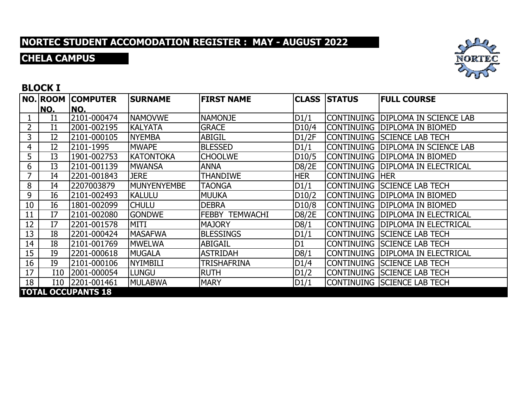### **CHELA CAMPUS**



#### **BLOCK I**

|    | NO. ROOM       | <b>COMPUTER</b>           | <b>SURNAME</b>     | <b>FIRST NAME</b>     | <b>CLASS</b>       | <b>STATUS</b>     | <b>FULL COURSE</b>                  |
|----|----------------|---------------------------|--------------------|-----------------------|--------------------|-------------------|-------------------------------------|
|    | NO.            | NO.                       |                    |                       |                    |                   |                                     |
|    | I <sub>1</sub> | 2101-000474               | <b>NAMOVWE</b>     | <b>NAMONJE</b>        | D1/1               |                   | CONTINUING DIPLOMA IN SCIENCE LAB   |
|    | I1             | 2001-002195               | <b>KALYATA</b>     | <b>GRACE</b>          | D <sub>10</sub> /4 |                   | Continuing   Diploma in Biomed      |
| 3  | I <sub>2</sub> | 2101-000105               | <b>NYEMBA</b>      | <b>ABIGIL</b>         | D1/2F              |                   | CONTINUING SCIENCE LAB TECH         |
| 4  | I <sub>2</sub> | 2101-1995                 | <b>MWAPE</b>       | <b>BLESSED</b>        | D1/1               |                   | CONTINUING   DIPLOMA IN SCIENCE LAB |
| 5  | I3             | 1901-002753               | <b>KATONTOKA</b>   | <b>CHOOLWE</b>        | D <sub>10</sub> /5 |                   | CONTINUING DIPLOMA IN BIOMED        |
| 6  | I3             | 2101-001139               | <b>MWANSA</b>      | <b>ANNA</b>           | D8/2E              |                   | CONTINUING  DIPLOMA IN ELECTRICAL   |
|    | I4             | 2201-001843               | <b>JERE</b>        | <b>THANDIWE</b>       | <b>HER</b>         | <b>CONTINUING</b> | <b>IHER</b>                         |
| 8  | I4             | 2207003879                | <b>MUNYENYEMBE</b> | TAONGA                | D1/1               |                   | <b>CONTINUING SSCIENCE LAB TECH</b> |
| 9  | I6             | 2101-002493               | <b>KALULU</b>      | <b>MUUKA</b>          | D10/2              |                   | Icontinuing  DIPLOMA IN BIOMED      |
| 10 | I6             | 1801-002099               | <b>CHULU</b>       | <b>DEBRA</b>          | D10/8              |                   | ICONTINUING  DIPLOMA IN BIOMED      |
| 11 | I7             | 2101-002080               | <b>GONDWE</b>      | <b>FEBBY TEMWACHI</b> | D8/2E              | icontinuing       | <b>DIPLOMA IN ELECTRICAL</b>        |
| 12 | I7             | 2201-001578               | <b>MITI</b>        | <b>MAJORY</b>         | D8/1               |                   | CONTINUING   DIPLOMA IN ELECTRICAL  |
| 13 | <b>I8</b>      | 2201-000424               | <b>MASAFWA</b>     | <b>BLESSINGS</b>      | D1/1               |                   | CONTINUING SCIENCE LAB TECH         |
| 14 | I <sub>8</sub> | 2101-001769               | <b>MWELWA</b>      | <b>ABIGAIL</b>        | D <sub>1</sub>     |                   | CONTINUING SCIENCE LAB TECH         |
| 15 | I9             | 2201-000618               | <b>MUGALA</b>      | <b>ASTRIDAH</b>       | D8/1               |                   | CONTINUING DIPLOMA IN ELECTRICAL    |
| 16 | I9             | 2101-000106               | <b>NYIMBILI</b>    | TRISHAFRINA           | D1/4               |                   | CONTINUING SCIENCE LAB TECH         |
| 17 | I10            | 2001-000054               | <b>LUNGU</b>       | <b>RUTH</b>           | D1/2               |                   | CONTINUING SCIENCE LAB TECH         |
| 18 | I10            | 2201-001461               | <b>MULABWA</b>     | <b>MARY</b>           | D1/1               |                   | CONTINUING SCIENCE LAB TECH         |
|    |                | <b>TOTAL OCCUPANTS 18</b> |                    |                       |                    |                   |                                     |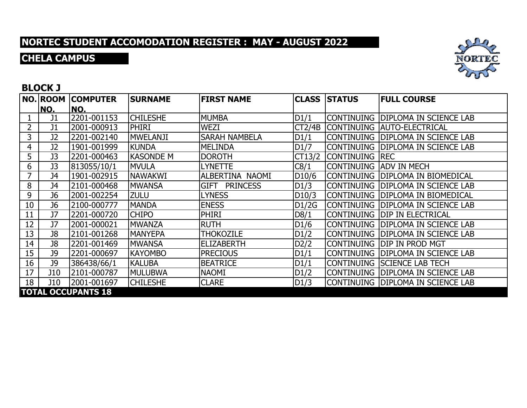### **CHELA CAMPUS**



#### **BLOCK J**

|    | NO. ROOM       | <b>COMPUTER</b>           | <b>SURNAME</b>   | <b>FIRST NAME</b>    |                    | <b>CLASS STATUS</b>    | <b>FULL COURSE</b>                  |
|----|----------------|---------------------------|------------------|----------------------|--------------------|------------------------|-------------------------------------|
|    | NO.            | INO.                      |                  |                      |                    |                        |                                     |
|    | J1             | 2201-001153               | <b>CHILESHE</b>  | MUMBA                | D1/1               |                        | CONTINUING DIPLOMA IN SCIENCE LAB   |
|    | J1             | 2001-000913               | <b>PHIRI</b>     | <b>WEZI</b>          | CT2/4B             |                        | CONTINUING AUTO-ELECTRICAL          |
| 3  | <b>J2</b>      | 2201-002140               | <b>MWELANJI</b>  | <b>SARAH NAMBELA</b> | D1/1               |                        | CONTINUING   DIPLOMA IN SCIENCE LAB |
| 4  | J2             | 1901-001999               | <b>KUNDA</b>     | <b>MELINDA</b>       | D1/7               | <b>CONTINUING</b>      | <b>DIPLOMA IN SCIENCE LAB</b>       |
| 5  | J3             | 2201-000463               | <b>KASONDE M</b> | <b>DOROTH</b>        | CT13/2             | <b>CONTINUING REC</b>  |                                     |
| 6  | J3             | 813055/10/1               | <b>MVULA</b>     | <b>LYNETTE</b>       | C8/1               | CONTINUING ADV IN MECH |                                     |
|    | J4             | 1901-002915               | <b>NAWAKWI</b>   | ALBERTINA NAOMI      | D <sub>10</sub> /6 | <b>CONTINUING</b>      | <b>DIPLOMA IN BIOMEDICAL</b>        |
| 8  | J4             | 2101-000468               | <b>MWANSA</b>    | GIFT PRINCESS        | D1/3               | <b>CONTINUING</b>      | <b>DIPLOMA IN SCIENCE LAB</b>       |
| 9  | J <sub>6</sub> | 2001-002254               | <b>ZULU</b>      | <b>LYNESS</b>        | D10/3              |                        | CONTINUING   DIPLOMA IN BIOMEDICAL  |
| 10 | J6             | 2100-000777               | <b>MANDA</b>     | <b>ENESS</b>         | DI/2G              |                        | CONTINUING  DIPLOMA IN SCIENCE LAB  |
| 11 | <b>J7</b>      | 2201-000720               | <b>CHIPO</b>     | PHIRI                | D8/1               | CONTINUING             | <b>IDIP IN ELECTRICAL</b>           |
| 12 | J7             | 2001-000021               | <b>MWANZA</b>    | <b>RUTH</b>          | D1/6               |                        | CONTINUING   DIPLOMA IN SCIENCE LAB |
| 13 | J8             | 2101-001268               | <b>MANYEPA</b>   | <b>THOKOZILE</b>     | D1/2               | <b>CONTINUING</b>      | <b>DIPLOMA IN SCIENCE LAB</b>       |
| 14 | J8             | 2201-001469               | <b>MWANSA</b>    | <b>ELIZABERTH</b>    | D <sub>2</sub> /2  |                        | CONTINUING   DIP IN PROD MGT        |
| 15 | <b>J9</b>      | 2201-000697               | <b>KAYOMBO</b>   | <b>PRECIOUS</b>      | D1/1               | <b>CONTINUING</b>      | <b>DIPLOMA IN SCIENCE LAB</b>       |
| 16 | <b>J9</b>      | 386438/66/1               | <b>KALUBA</b>    | <b>BEATRICE</b>      | D1/1               |                        | CONTINUING SCIENCE LAB TECH         |
| 17 | <b>J10</b>     | 2101-000787               | <b>MULUBWA</b>   | <b>NAOMI</b>         | D1/2               | <b>CONTINUING</b>      | <b>DIPLOMA IN SCIENCE LAB</b>       |
| 18 | J10            | 2001-001697               | <b>CHILESHE</b>  | <b>CLARE</b>         | D1/3               |                        | CONTINUING DIPLOMA IN SCIENCE LAB   |
|    |                | <b>TOTAL OCCUPANTS 18</b> |                  |                      |                    |                        |                                     |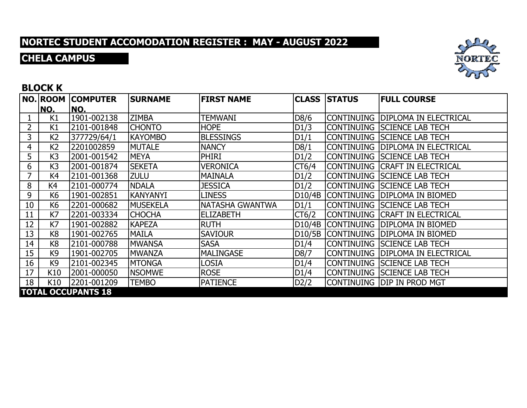### **CHELA CAMPUS**



#### **BLOCK K**

|                | NO.            | <b>NO. ROOM COMPUTER</b><br>NO. | <b>SURNAME</b>  | <b>FIRST NAME</b> |        | <b>CLASS ISTATUS</b> | <b>FULL COURSE</b>                  |
|----------------|----------------|---------------------------------|-----------------|-------------------|--------|----------------------|-------------------------------------|
|                | K1             | 1901-002138                     | <b>ZIMBA</b>    | TEMWANI           | D8/6   |                      | CONTINUING  DIPLOMA IN ELECTRICAL   |
| $\overline{2}$ | K1             | 2101-001848                     | <b>CHONTO</b>   | <b>HOPE</b>       | D1/3   |                      | CONTINUING  SCIENCE LAB TECH        |
| 3              | K <sub>2</sub> | 377729/64/1                     | <b>KAYOMBO</b>  | <b>BLESSINGS</b>  | D1/1   |                      | CONTINUING SCIENCE LAB TECH         |
| 4              | K <sub>2</sub> | 2201002859                      | <b>MUTALE</b>   | <b>NANCY</b>      | D8/1   |                      | continuing  Diploma in Electrical   |
| 5              | K <sub>3</sub> | 2001-001542                     | <b>MEYA</b>     | <b>PHIRI</b>      | D1/2   |                      | CONTINUING  SCIENCE LAB TECH        |
| 6              | K <sub>3</sub> | 2001-001874                     | <b>SEKETA</b>   | <b>VERONICA</b>   | CT6/4  |                      | CONTINUING  CRAFT IN ELECTRICAL     |
|                | K4             | 2101-001368                     | <b>ZULU</b>     | MAINALA           | D1/2   |                      | CONTINUING SCIENCE LAB TECH         |
| 8              | K4             | 2101-000774                     | <b>NDALA</b>    | <b>JESSICA</b>    | D1/2   |                      | CONTINUING  SCIENCE LAB TECH        |
| 9              | K <sub>6</sub> | 1901-002851                     | <b>KANYANYI</b> | <b>LINESS</b>     | D10/4B |                      | CONTINUING DIPLOMA IN BIOMED        |
| 10             | K6             | 2201-000682                     | <b>MUSEKELA</b> | NATASHA GWANTWA   | D1/1   |                      | CONTINUING  SCIENCE LAB TECH        |
| 11             | K7             | 2201-003334                     | <b>CHOCHA</b>   | <b>ELIZABETH</b>  | CT6/2  |                      | CONTINUING  CRAFT IN ELECTRICAL     |
| 12             | K7             | 1901-002882                     | <b>KAPEZA</b>   | <b>RUTH</b>       |        |                      | D10/4B CONTINUING DIPLOMA IN BIOMED |
| 13             | K <sub>8</sub> | 1901-002765                     | <b>MAILA</b>    | <b>SAVIOUR</b>    |        |                      | D10/5B CONTINUING DIPLOMA IN BIOMED |
| 14             | K <sub>8</sub> | 2101-000788                     | <b>MWANSA</b>   | <b>SASA</b>       | D1/4   |                      | CONTINUING SSCIENCE LAB TECH        |
| 15             | K <sub>9</sub> | 1901-002705                     | <b>MWANZA</b>   | <b>MALINGASE</b>  | D8/7   |                      | CONTINUING  DIPLOMA IN ELECTRICAL   |
| 16             | K <sub>9</sub> | 2101-002345                     | <b>MTONGA</b>   | LOSIA             | D1/4   |                      | CONTINUING SCIENCE LAB TECH         |
| 17             | K10            | 2001-000050                     | <b>NSOMWE</b>   | <b>ROSE</b>       | D1/4   |                      | CONTINUING SCIENCE LAB TECH         |
| 18             | K10            | 2201-001209                     | <b>TEMBO</b>    | <b>PATIENCE</b>   | D2/2   |                      | Continuing  DIP in Prod MgT         |
|                |                | <b>TOTAL OCCUPANTS 18</b>       |                 |                   |        |                      |                                     |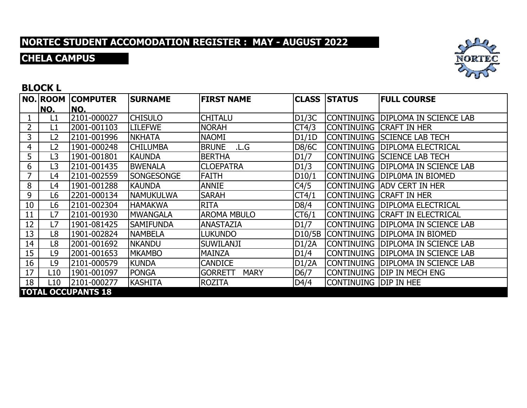### **CHELA CAMPUS**



#### **BLOCK L**

|    | <b>NO. ROOM</b> | <b>COMPUTER</b>           | <b>SURNAME</b>   | <b>FIRST NAME</b>             |        | <b>CLASS STATUS</b>    | <b>FULL COURSE</b>                  |
|----|-----------------|---------------------------|------------------|-------------------------------|--------|------------------------|-------------------------------------|
|    | NO.             | NO.                       |                  |                               |        |                        |                                     |
|    | L1              | 2101-000027               | <b>CHISULO</b>   | <b>CHITALU</b>                | D1/3C  |                        | CONTINUING DIPLOMA IN SCIENCE LAB   |
| 2  | L1              | 2001-001103               | <b>LILEFWE</b>   | <b>NORAH</b>                  | CT4/3  |                        | CONTINUING CRAFT IN HER             |
| 3  | L <sub>2</sub>  | 2101-001996               | <b>NKHATA</b>    | <b>NAOMI</b>                  | D1/1D  |                        | CONTINUING SSCIENCE LAB TECH        |
| 4  | L2              | 1901-000248               | <b>CHILUMBA</b>  | <b>BRUNE</b><br>.L.G          | D8/6C  | <b>CONTINUING</b>      | <b>DIPLOMA ELECTRICAL</b>           |
| 5  | L3              | 1901-001801               | <b>KAUNDA</b>    | <b>BERTHA</b>                 | D1/7   |                        | CONTINUING  SCIENCE LAB TECH        |
| 6  | L3              | 2101-001435               | <b>BWENALA</b>   | <b>CLOEPATRA</b>              | D1/3   |                        | CONTINUING DIPLOMA IN SCIENCE LAB   |
|    | L4              | 2101-002559               | SONGESONGE       | <b>FAITH</b>                  | D10/1  | CONTINUING             | <b>DIPLOMA IN BIOMED</b>            |
| 8  | L4              | 1901-001288               | <b>KAUNDA</b>    | <b>ANNIE</b>                  | C4/5   |                        | CONTINUING  ADV CERT IN HER         |
| 9  | L6              | 2201-000134               | <b>NAMUKULWA</b> | <b>SARAH</b>                  | CT4/1  |                        | CONTINUING CRAFT IN HER             |
| 10 | L6              | 2101-002304               | <b>HAMAKWA</b>   | <b>RITA</b>                   | D8/4   |                        | CONTINUING  DIPLOMA ELECTRICAL      |
| 11 | L7              | 2101-001930               | <b>MWANGALA</b>  | <b>AROMA MBULO</b>            | CT6/1  |                        | CONTINUING  CRAFT IN ELECTRICAL     |
| 12 | L <sub>7</sub>  | 1901-081425               | <b>SAMIFUNDA</b> | <b>ANASTAZIA</b>              | D1/7   |                        | CONTINUING   DIPLOMA IN SCIENCE LAB |
| 13 | L8              | 1901-002824               | <b>NAMBELA</b>   | <b>LUKUNDO</b>                | D10/5B | <b>CONTINUING</b>      | <b>DIPLOMA IN BIOMED</b>            |
| 14 | L8              | 2001-001692               | <b>NKANDU</b>    | <b>SUWILANJI</b>              | D1/2A  |                        | CONTINUING  DIPLOMA IN SCIENCE LAB  |
| 15 | L9              | 2001-001653               | <b>MKAMBO</b>    | <b>MAINZA</b>                 | D1/4   | CONTINUING             | <b>DIPLOMA IN SCIENCE LAB</b>       |
| 16 | L9              | 2101-000579               | <b>KUNDA</b>     | <b>CANDICE</b>                | D1/2A  | CONTINUING             | <b>DIPLOMA IN SCIENCE LAB</b>       |
| 17 | L10             | 1901-001097               | <b>PONGA</b>     | <b>MARY</b><br><b>GORRETT</b> | D6/7   |                        | CONTINUING   DIP IN MECH ENG        |
| 18 | L10             | 2101-000277               | <b>KASHITA</b>   | <b>ROZITA</b>                 | D4/4   | Continuing  DIP in hee |                                     |
|    |                 | <b>TOTAL OCCUPANTS 18</b> |                  |                               |        |                        |                                     |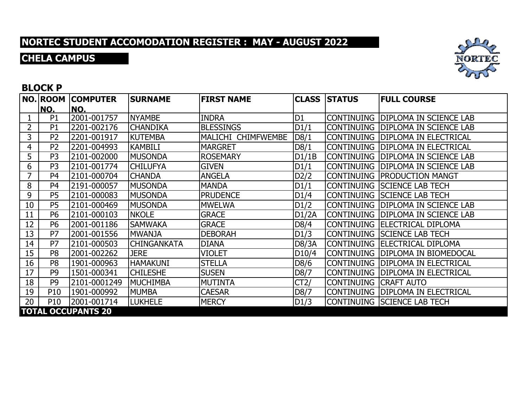### **CHELA CAMPUS**



#### **BLOCK P**

|    |                | NO. ROOM COMPUTER         | <b>SURNAME</b>     | <b>FIRST NAME</b>  |       | <b>CLASS STATUS</b>          | <b>FULL COURSE</b>                 |
|----|----------------|---------------------------|--------------------|--------------------|-------|------------------------------|------------------------------------|
|    | NO.            | INO.                      |                    |                    |       |                              |                                    |
|    | P <sub>1</sub> | 2001-001757               | <b>NYAMBE</b>      | <b>INDRA</b>       | D1    |                              | CONTINUING DIPLOMA IN SCIENCE LAB  |
| 2  | P <sub>1</sub> | 2201-002176               | <b>CHANDIKA</b>    | <b>BLESSINGS</b>   | D1/1  |                              | CONTINUING DIPLOMA IN SCIENCE LAB  |
| 3  | P <sub>2</sub> | 2201-001917               | <b>KUTEMBA</b>     | MALICHI CHIMFWEMBE | D8/1  |                              | CONTINUING   DIPLOMA IN ELECTRICAL |
| 4  | P <sub>2</sub> | 2201-004993               | <b>KAMBILI</b>     | <b>MARGRET</b>     | D8/1  |                              | CONTINUING   DIPLOMA IN ELECTRICAL |
| 5  | P <sub>3</sub> | 2101-002000               | <b>MUSONDA</b>     | <b>ROSEMARY</b>    | D1/1B |                              | CONTINUING DIPLOMA IN SCIENCE LAB  |
| 6  | P <sub>3</sub> | 2101-001774               | <b>CHILUFYA</b>    | <b>GIVEN</b>       | D1/1  |                              | CONTINUING DIPLOMA IN SCIENCE LAB  |
| 7  | P <sub>4</sub> | 2101-000704               | <b>CHANDA</b>      | <b>ANGELA</b>      | D2/2  |                              | <b>CONTINUING PRODUCTION MANGT</b> |
| 8  | P <sub>4</sub> | 2191-000057               | <b>MUSONDA</b>     | <b>MANDA</b>       | D1/1  |                              | CONTINUING SCIENCE LAB TECH        |
| 9  | P <sub>5</sub> | 2101-000083               | <b>MUSONDA</b>     | <b>PRUDENCE</b>    | D1/4  |                              | CONTINUING SCIENCE LAB TECH        |
| 10 | P <sub>5</sub> | 2101-000469               | <b>MUSONDA</b>     | <b>MWELWA</b>      | D1/2  |                              | CONTINUING DIPLOMA IN SCIENCE LAB  |
| 11 | <b>P6</b>      | 2101-000103               | <b>NKOLE</b>       | <b>GRACE</b>       | D1/2A |                              | CONTINUING DIPLOMA IN SCIENCE LAB  |
| 12 | <b>P6</b>      | 2001-001186               | <b>SAMWAKA</b>     | <b>GRACE</b>       | D8/4  |                              | CONTINUING   ELECTRICAL DIPLOMA    |
| 13 | P7             | 2001-001556               | <b>MWANJA</b>      | <b>DEBORAH</b>     | D1/3  |                              | CONTINUING SCIENCE LAB TECH        |
| 14 | P7             | 2101-000503               | <b>CHINGANKATA</b> | <b>DIANA</b>       | D8/3A |                              | CONTINUING   ELECTRICAL DIPLOMA    |
| 15 | P <sub>8</sub> | 2001-002262               | <b>JERE</b>        | <b>VIOLET</b>      | D10/4 |                              | CONTINUING DIPLOMA IN BIOMEDOCAL   |
| 16 | P <sub>8</sub> | 1901-000963               | <b>HAMAKUNI</b>    | <b>STELLA</b>      | D8/6  |                              | CONTINUING   DIPLOMA IN ELECTRICAL |
| 17 | P <sub>9</sub> | 1501-000341               | <b>CHILESHE</b>    | <b>SUSEN</b>       | D8/7  |                              | CONTINUING   DIPLOMA IN ELECTRICAL |
| 18 | P <sub>9</sub> | 2101-0001249              | <b>MUCHIMBA</b>    | MUTINTA            | CT2/  | <b>CONTINUING CRAFT AUTO</b> |                                    |
| 19 | P10            | 1901-000992               | <b>MUMBA</b>       | <b>CAESAR</b>      | D8/7  |                              | CONTINUING   DIPLOMA IN ELECTRICAL |
| 20 | <b>P10</b>     | 2001-001714               | <b>LUKHELE</b>     | <b>MERCY</b>       | D1/3  |                              | CONTINUING SCIENCE LAB TECH        |
|    |                | <b>TOTAL OCCUPANTS 20</b> |                    |                    |       |                              |                                    |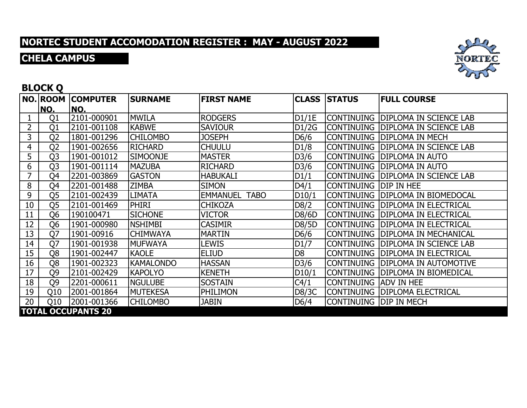### **CHELA CAMPUS**



#### **BLOCK Q**

|    |                |                           | <b>SURNAME</b>   | <b>FIRST NAME</b>              |                | <b>CLASS STATUS</b>          | <b>FULL COURSE</b>                 |
|----|----------------|---------------------------|------------------|--------------------------------|----------------|------------------------------|------------------------------------|
|    | NO.            | INO.                      |                  |                                |                |                              |                                    |
|    | Q1             | 2101-000901               | <b>MWILA</b>     | <b>RODGERS</b>                 | D1/1E          |                              | CONTINUING DIPLOMA IN SCIENCE LAB  |
| 2  | Q1             | 2101-001108               | <b>KABWE</b>     | <b>SAVIOUR</b>                 | D1/2G          | ICONTINUING                  | <b>IDIPLOMA IN SCIENCE LAB</b>     |
| 3  | Q <sub>2</sub> | 1801-001296               | <b>CHILOMBO</b>  | <b>JOSEPH</b>                  | D6/6           |                              | CONTINUING   DIPLOMA IN MECH       |
| 4  | Q <sub>2</sub> | 1901-002656               | <b>RICHARD</b>   | <b>CHUULU</b>                  | D1/8           | <b>CONTINUING</b>            | <b>DIPLOMA IN SCIENCE LAB</b>      |
| 5  | Q <sub>3</sub> | 1901-001012               | <b>SIMOONJE</b>  | <b>MASTER</b>                  | D3/6           |                              | CONTINUING DIPLOMA IN AUTO         |
| 6  | Q <sub>3</sub> | 1901-001114               | <b>MAZUBA</b>    | <b>RICHARD</b>                 | D3/6           | <b>CONTINUING</b>            | <b>DIPLOMA IN AUTO</b>             |
| 7  | Q4             | 2201-003869               | <b>GASTON</b>    | <b>HABUKALI</b>                | D1/1           | <b>CONTINUING</b>            | <b>DIPLOMA IN SCIENCE LAB</b>      |
| 8  | Q4             | 2201-001488               | <b>ZIMBA</b>     | <b>SIMON</b>                   | D4/1           | CONTINUING   DIP IN HEE      |                                    |
| 9  | Q <sub>5</sub> | 2101-002439               | <b>LIMATA</b>    | <b>EMMANUEL</b><br><b>TABO</b> | D10/1          |                              | Continuing  DIPLOMA IN BIOMEDOCAL  |
| 10 | Q5             | 2101-001469               | <b>PHIRI</b>     | <b>CHIKOZA</b>                 | D8/2           | <b>CONTINUING</b>            | <b>DIPLOMA IN ELECTRICAL</b>       |
| 11 | Q <sub>6</sub> | 190100471                 | <b>SICHONE</b>   | <b>VICTOR</b>                  | D8/6D          |                              | Continuing  DIPLOMA IN ELECTRICAL  |
| 12 | Q <sub>6</sub> | 1901-000980               | <b>NSHIMBI</b>   | <b>CASIMIR</b>                 | D8/5D          | <b>CONTINUING</b>            | <b>DIPLOMA IN ELECTRICAL</b>       |
| 13 | Q7             | 1901-00916                | <b>CHIMWAYA</b>  | <b>MARTIN</b>                  | D6/6           |                              | CONTINUING   DIPLOMA IN MECHANICAL |
| 14 | Q7             | 1901-001938               | <b>MUFWAYA</b>   | LEWIS                          | D1/7           | <b>CONTINUING</b>            | <b>DIPLOMA IN SCIENCE LAB</b>      |
| 15 | Q <sub>8</sub> | 1901-002447               | <b>KAOLE</b>     | <b>ELIUD</b>                   | D <sub>8</sub> | <b>CONTINUING</b>            | <b>DIPLOMA IN ELECTRICAL</b>       |
| 16 | Q8             | 1901-002323               | <b>KAMALONDO</b> | <b>HASSAN</b>                  | D3/6           |                              | CONTINUING   DIPLOMA IN AUTOMOTIVE |
| 17 | Q9             | 2101-002429               | <b>KAPOLYO</b>   | <b>KENETH</b>                  | D10/1          |                              | CONTINUING  DIPLOMA IN BIOMEDICAL  |
| 18 | Q9             | 2201-000611               | <b>NGULUBE</b>   | <b>SOSTAIN</b>                 | C4/1           | <b>CONTINUING ADV IN HEE</b> |                                    |
| 19 | Q10            | 2001-001864               | <b>MUTEKESA</b>  | <b>PHILIMON</b>                | D8/3C          |                              | CONTINUING   DIPLOMA ELECTRICAL    |
| 20 | Q10            | 2001-001366               | <b>CHILOMBO</b>  | <b>JABIN</b>                   | D6/4           | Continuing  DIP in Mech      |                                    |
|    |                | <b>TOTAL OCCUPANTS 20</b> |                  |                                |                |                              |                                    |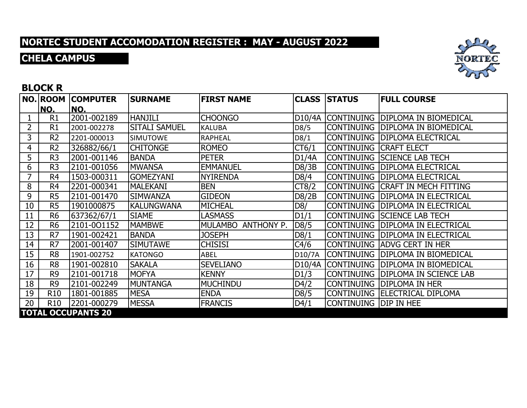### **CHELA CAMPUS**



#### **BLOCK R**

|    |                 |                           | <b>SURNAME</b>       | <b>FIRST NAME</b>  |        | <b>CLASS STATUS</b>    | <b>FULL COURSE</b>                  |
|----|-----------------|---------------------------|----------------------|--------------------|--------|------------------------|-------------------------------------|
|    | NO.             | INO.                      |                      |                    |        |                        |                                     |
|    | R1              | 2001-002189               | <b>HANJILI</b>       | <b>CHOONGO</b>     | D10/4A |                        | CONTINUING DIPLOMA IN BIOMEDICAL    |
| 2  | R1              | 2001-002278               | <b>SITALI SAMUEL</b> | <b>KALUBA</b>      | D8/5   |                        | CONTINUING   DIPLOMA IN BIOMEDICAL  |
| 3  | R <sub>2</sub>  | 2201-000013               | <b>SIMUTOWE</b>      | <b>RAPHEAL</b>     | D8/1   |                        | CONTINUING   DIPLOMA ELECTRICAL     |
| 4  | R <sub>2</sub>  | 326882/66/1               | <b>CHITONGE</b>      | <b>ROMEO</b>       | CT6/1  | CONTINUING CRAFT ELECT |                                     |
| 5  | R <sub>3</sub>  | 2001-001146               | <b>BANDA</b>         | <b>PETER</b>       | D1/4A  |                        | CONTINUING ISCIENCE LAB TECH        |
| 6  | R <sub>3</sub>  | 2101-001056               | <b>MWANSA</b>        | <b>EMMANUEL</b>    | D8/3B  |                        | CONTINUING   DIPLOMA ELECTRICAL     |
| 7  | R <sub>4</sub>  | 1503-000311               | <b>GOMEZYANI</b>     | <b>NYIRENDA</b>    | D8/4   | <b>CONTINUING</b>      | <b>DIPLOMA ELECTRICAL</b>           |
| 8  | R <sub>4</sub>  | 2201-000341               | MALEKANI             | <b>BEN</b>         | CT8/2  |                        | CONTINUING   CRAFT IN MECH FITTING  |
| 9  | R <sub>5</sub>  | 2101-001470               | <b>SIMWANZA</b>      | <b>GIDEON</b>      | D8/2B  |                        | CONTINUING  DIPLOMA IN ELECTRICAL   |
| 10 | R <sub>5</sub>  | 1901000875                | <b>KALUNGWANA</b>    | MICHEAL            | D8/    |                        | CONTINUING   DIPLOMA IN ELECTRICAL  |
| 11 | R <sub>6</sub>  | 637362/67/1               | <b>SIAME</b>         | <b>LASMASS</b>     | D1/1   |                        | CONTINUING SCIENCE LAB TECH         |
| 12 | R <sub>6</sub>  | 2101-001152               | <b>MAMBWE</b>        | MULAMBO ANTHONY P. | D8/5   | <b>CONTINUING</b>      | <b>DIPLOMA IN ELECTRICAL</b>        |
| 13 | R <sub>7</sub>  | 1901-002421               | <b>BANDA</b>         | <b>JOSEPH</b>      | D8/1   |                        | CONTINUING   DIPLOMA IN ELECTRICAL  |
| 14 | R7              | 2001-001407               | <b>SIMUTAWE</b>      | <b>CHISISI</b>     | C4/6   |                        | CONTINUING ADVG CERT IN HER         |
| 15 | R <sub>8</sub>  | 1901-002752               | <b>KATONGO</b>       | ABEL               | D10/7A | <b>CONTINUING</b>      | <b>DIPLOMA IN BIOMEDICAL</b>        |
| 16 | R <sub>8</sub>  | 1901-002810               | <b>SAKALA</b>        | <b>SEVELIANO</b>   | D10/4A | <b>CONTINUING</b>      | <b>DIPLOMA IN BIOMEDICAL</b>        |
| 17 | R <sub>9</sub>  | 2101-001718               | <b>MOFYA</b>         | <b>KENNY</b>       | D1/3   |                        | CONTINUING   DIPLOMA IN SCIENCE LAB |
| 18 | R <sub>9</sub>  | 2101-002249               | <b>MUNTANGA</b>      | <b>MUCHINDU</b>    | D4/2   | <b>CONTINUING</b>      | <b>DIPLOMA IN HER</b>               |
| 19 | <b>R10</b>      | 1801-001885               | <b>MESA</b>          | <b>ENDA</b>        | D8/5   |                        | CONTINUING   ELECTRICAL DIPLOMA     |
| 20 | R <sub>10</sub> | 2201-000279               | <b>MESSA</b>         | <b>FRANCIS</b>     | D4/1   | Continuing  DIP in hee |                                     |
|    |                 | <b>TOTAL OCCUPANTS 20</b> |                      |                    |        |                        |                                     |